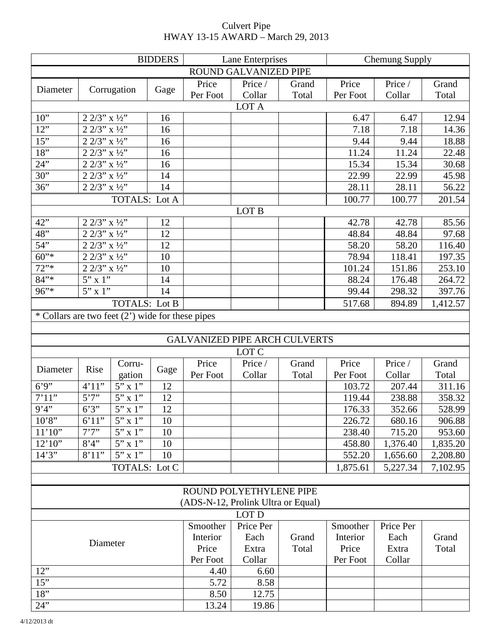|                                                    |                                               |                       | <b>BIDDERS</b> | Lane Enterprises |                                      |        | <b>Chemung Supply</b> |           |          |  |  |  |  |
|----------------------------------------------------|-----------------------------------------------|-----------------------|----------------|------------------|--------------------------------------|--------|-----------------------|-----------|----------|--|--|--|--|
| ROUND GALVANIZED PIPE                              |                                               |                       |                |                  |                                      |        |                       |           |          |  |  |  |  |
|                                                    |                                               |                       |                | Price            | Price /                              | Grand  | Price                 | Price /   | Grand    |  |  |  |  |
| Diameter                                           |                                               | Corrugation           | Gage           | Per Foot         | Collar                               | Total  | Per Foot              | Collar    | Total    |  |  |  |  |
| LOT A                                              |                                               |                       |                |                  |                                      |        |                       |           |          |  |  |  |  |
| $10$ "                                             | $2\ 2/3$ " x $\frac{1}{2}$ "                  |                       | 16             |                  |                                      |        | 6.47                  | 6.47      | 12.94    |  |  |  |  |
| 12"                                                | $2 \frac{2}{3}$ " x ½"                        |                       | 16             |                  |                                      |        | 7.18                  | 7.18      | 14.36    |  |  |  |  |
| 15"                                                | $2\overline{2/3}$ x $\frac{1}{2}$             |                       | 16             |                  |                                      |        | 9.44                  | 9.44      | 18.88    |  |  |  |  |
| 18"                                                | $2$ $2/3"$ x $1\!\!/\!2"$                     |                       | 16             |                  |                                      |        | 11.24                 | 11.24     | 22.48    |  |  |  |  |
| 24"                                                | $2\ 2/3"$ x $\frac{1}{2}$ "                   |                       | 16             |                  |                                      |        | 15.34                 | 15.34     | 30.68    |  |  |  |  |
| 30"                                                | $2\frac{2}{3}$ x $\frac{1}{2}$                |                       | 14             |                  |                                      |        | 22.99                 | 22.99     | 45.98    |  |  |  |  |
| 36"                                                | $\frac{1}{2}$ $\frac{2}{3}$ , $\frac{1}{2}$ , |                       | 14             |                  |                                      |        | 28.11                 | 28.11     | 56.22    |  |  |  |  |
| <b>TOTALS: Lot A</b>                               |                                               |                       |                |                  |                                      | 100.77 | 100.77                | 201.54    |          |  |  |  |  |
| LOT B                                              |                                               |                       |                |                  |                                      |        |                       |           |          |  |  |  |  |
| 42"                                                | $\frac{1}{2}$ 2/3" x ½"                       |                       | 12             |                  |                                      |        | 42.78                 | 42.78     | 85.56    |  |  |  |  |
| 48"                                                | $2\frac{2}{3}$ x $\frac{1}{2}$                |                       | 12             |                  |                                      |        | 48.84                 | 48.84     | 97.68    |  |  |  |  |
| 54"                                                | $2\frac{2}{3}$ $\frac{\sqrt{2}}{3}$           |                       | 12             |                  |                                      |        | 58.20                 | 58.20     | 116.40   |  |  |  |  |
| $60^{"*}$                                          | $2\frac{2}{3}$ x $\frac{1}{2}$                |                       | 10             |                  |                                      |        | 78.94                 | 118.41    | 197.35   |  |  |  |  |
| 72"                                                | $2$ $2/3"$ x $1\!\!/\!2"$                     |                       | 10             |                  |                                      |        | 101.24                | 151.86    | 253.10   |  |  |  |  |
| $84"$ *                                            | 5" x 1"                                       |                       | 14             |                  |                                      |        | 88.24                 | 176.48    | 264.72   |  |  |  |  |
| 96"                                                | $5''$ x 1"                                    |                       | 14             |                  |                                      |        | 99.44                 | 298.32    | 397.76   |  |  |  |  |
|                                                    |                                               | <b>TOTALS: Lot B</b>  |                |                  |                                      |        | 517.68                | 894.89    | 1,412.57 |  |  |  |  |
| * Collars are two feet $(2')$ wide for these pipes |                                               |                       |                |                  |                                      |        |                       |           |          |  |  |  |  |
|                                                    |                                               |                       |                |                  |                                      |        |                       |           |          |  |  |  |  |
|                                                    |                                               |                       |                |                  | <b>GALVANIZED PIPE ARCH CULVERTS</b> |        |                       |           |          |  |  |  |  |
|                                                    |                                               |                       |                |                  | LOT C                                |        |                       |           |          |  |  |  |  |
|                                                    |                                               | Corru-                |                | Price            | Price /                              | Grand  | Price                 | Price /   | Grand    |  |  |  |  |
| Diameter                                           | Rise                                          | gation                | Gage           | Per Foot         | Collar                               | Total  | Per Foot              | Collar    | Total    |  |  |  |  |
| 6'9''                                              | 4'11"                                         | $5"$ x $1"$           | 12             |                  |                                      |        | 103.72                | 207.44    | 311.16   |  |  |  |  |
| 7'11'                                              | 5'7''                                         | $\overline{5}$ " x 1" | 12             |                  |                                      |        | 119.44                | 238.88    | 358.32   |  |  |  |  |
| 9'4''                                              | 6'3''                                         | $5"$ x 1"             | 12             |                  |                                      |        | 176.33                | 352.66    | 528.99   |  |  |  |  |
| 10'8''                                             | 6'11"                                         | $5"$ x 1"             | 10             |                  |                                      |        | 226.72                | 680.16    | 906.88   |  |  |  |  |
| 11'10"                                             | 7'7''                                         | $5"$ x 1"             | 10             |                  |                                      |        | 238.40                | 715.20    | 953.60   |  |  |  |  |
| 12'10''                                            | 8'4''                                         | $5"$ x 1"             | 10             |                  |                                      |        | 458.80                | 1,376.40  | 1,835.20 |  |  |  |  |
| 14'3''                                             | 8'11"                                         | $5"$ x 1"             | 10             |                  |                                      |        | 552.20                | 1,656.60  | 2,208.80 |  |  |  |  |
|                                                    |                                               | TOTALS: Lot C         |                |                  |                                      |        | 1,875.61              | 5,227.34  | 7,102.95 |  |  |  |  |
|                                                    |                                               |                       |                |                  |                                      |        |                       |           |          |  |  |  |  |
|                                                    |                                               |                       |                |                  | ROUND POLYETHYLENE PIPE              |        |                       |           |          |  |  |  |  |
| (ADS-N-12, Prolink Ultra or Equal)                 |                                               |                       |                |                  |                                      |        |                       |           |          |  |  |  |  |
|                                                    |                                               |                       |                |                  | LOT D                                |        |                       |           |          |  |  |  |  |
| Diameter                                           |                                               |                       |                | Smoother         | Price Per                            |        | Smoother              | Price Per |          |  |  |  |  |
|                                                    |                                               |                       |                | Interior         | Each                                 | Grand  | Interior              | Each      | Grand    |  |  |  |  |
|                                                    |                                               |                       |                | Price            | Extra                                | Total  | Price                 | Extra     | Total    |  |  |  |  |
|                                                    |                                               |                       |                | Per Foot<br>4.40 | Collar                               |        | Per Foot              | Collar    |          |  |  |  |  |
| 12"                                                |                                               |                       |                |                  | 6.60                                 |        |                       |           |          |  |  |  |  |
| 15"                                                |                                               |                       |                |                  | 8.58                                 |        |                       |           |          |  |  |  |  |
| 18"                                                |                                               |                       |                | 8.50             | 12.75                                |        |                       |           |          |  |  |  |  |
| 24"                                                |                                               |                       |                | 13.24            | 19.86                                |        |                       |           |          |  |  |  |  |

## Culvert Pipe HWAY 13-15 AWARD – March 29, 2013